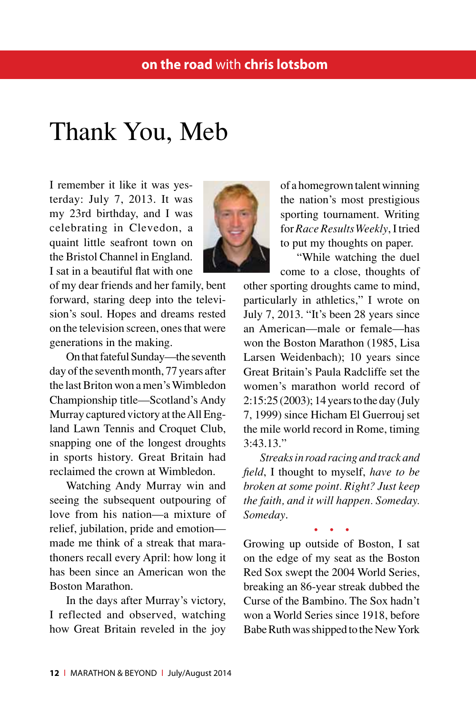## Thank You, Meb

I remember it like it was yesterday: July 7, 2013. It was my 23rd birthday, and I was celebrating in Clevedon, a quaint little seafront town on the Bristol Channel in England. I sat in a beautiful flat with one

of my dear friends and her family, bent forward, staring deep into the television's soul. Hopes and dreams rested on the television screen, ones that were generations in the making.

On that fateful Sunday—the seventh day of the seventh month, 77 years after the last Briton won a men's Wimbledon Championship title—Scotland's Andy Murray captured victory at the All England Lawn Tennis and Croquet Club, snapping one of the longest droughts in sports history. Great Britain had reclaimed the crown at Wimbledon.

Watching Andy Murray win and seeing the subsequent outpouring of love from his nation—a mixture of relief, jubilation, pride and emotion made me think of a streak that marathoners recall every April: how long it has been since an American won the Boston Marathon.

In the days after Murray's victory, I reflected and observed, watching how Great Britain reveled in the joy



"While watching the duel come to a close, thoughts of

other sporting droughts came to mind, particularly in athletics," I wrote on July 7, 2013. "It's been 28 years since an American—male or female—has won the Boston Marathon (1985, Lisa Larsen Weidenbach); 10 years since Great Britain's Paula Radcliffe set the women's marathon world record of 2:15:25 (2003); 14 years to the day (July 7, 1999) since Hicham El Guerrouj set the mile world record in Rome, timing 3:43.13."

*Streaks in road racing and track and field*, I thought to myself, *have to be broken at some point. Right? Just keep the faith, and it will happen. Someday. Someday*.

• • •

Growing up outside of Boston, I sat on the edge of my seat as the Boston Red Sox swept the 2004 World Series, breaking an 86-year streak dubbed the Curse of the Bambino. The Sox hadn't won a World Series since 1918, before Babe Ruth was shipped to the New York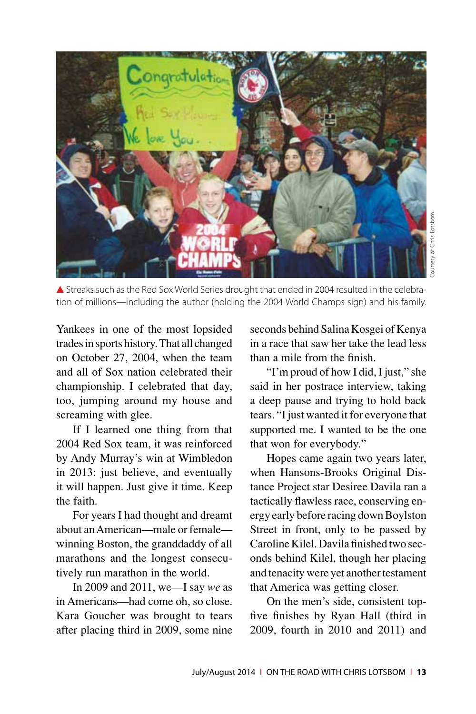

▲ Streaks such as the Red Sox World Series drought that ended in 2004 resulted in the celebration of millions—including the author (holding the 2004 World Champs sign) and his family.

Yankees in one of the most lopsided trades in sports history. That all changed on October 27, 2004, when the team and all of Sox nation celebrated their championship. I celebrated that day, too, jumping around my house and screaming with glee.

If I learned one thing from that 2004 Red Sox team, it was reinforced by Andy Murray's win at Wimbledon in 2013: just believe, and eventually it will happen. Just give it time. Keep the faith.

For years I had thought and dreamt about an American—male or female winning Boston, the granddaddy of all marathons and the longest consecutively run marathon in the world.

In 2009 and 2011, we—I say *we* as in Americans—had come oh, so close. Kara Goucher was brought to tears after placing third in 2009, some nine seconds behind Salina Kosgei of Kenya in a race that saw her take the lead less than a mile from the finish.

"I'm proud of how I did, I just," she said in her postrace interview, taking a deep pause and trying to hold back tears. "I just wanted it for everyone that supported me. I wanted to be the one that won for everybody."

Hopes came again two years later, when Hansons-Brooks Original Distance Project star Desiree Davila ran a tactically flawless race, conserving energy early before racing down Boylston Street in front, only to be passed by Caroline Kilel. Davila finished two seconds behind Kilel, though her placing and tenacity were yet another testament that America was getting closer.

On the men's side, consistent topfive finishes by Ryan Hall (third in 2009, fourth in 2010 and 2011) and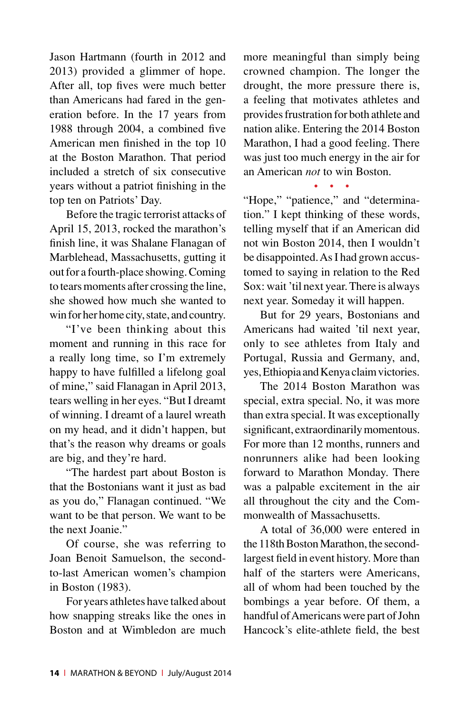Jason Hartmann (fourth in 2012 and 2013) provided a glimmer of hope. After all, top fives were much better than Americans had fared in the generation before. In the 17 years from 1988 through 2004, a combined five American men finished in the top 10 at the Boston Marathon. That period included a stretch of six consecutive years without a patriot finishing in the top ten on Patriots' Day.

Before the tragic terrorist attacks of April 15, 2013, rocked the marathon's finish line, it was Shalane Flanagan of Marblehead, Massachusetts, gutting it out for a fourth-place showing. Coming to tears moments after crossing the line, she showed how much she wanted to win for her home city, state, and country.

"I've been thinking about this moment and running in this race for a really long time, so I'm extremely happy to have fulfilled a lifelong goal of mine," said Flanagan in April 2013, tears welling in her eyes. "But I dreamt of winning. I dreamt of a laurel wreath on my head, and it didn't happen, but that's the reason why dreams or goals are big, and they're hard.

"The hardest part about Boston is that the Bostonians want it just as bad as you do," Flanagan continued. "We want to be that person. We want to be the next Joanie."

Of course, she was referring to Joan Benoit Samuelson, the secondto-last American women's champion in Boston (1983).

For years athletes have talked about how snapping streaks like the ones in Boston and at Wimbledon are much more meaningful than simply being crowned champion. The longer the drought, the more pressure there is, a feeling that motivates athletes and provides frustration for both athlete and nation alike. Entering the 2014 Boston Marathon, I had a good feeling. There was just too much energy in the air for an American *not* to win Boston.

• • •

"Hope," "patience," and "determination." I kept thinking of these words, telling myself that if an American did not win Boston 2014, then I wouldn't be disappointed. As I had grown accustomed to saying in relation to the Red Sox: wait 'til next year. There is always next year. Someday it will happen.

But for 29 years, Bostonians and Americans had waited 'til next year, only to see athletes from Italy and Portugal, Russia and Germany, and, yes, Ethiopia and Kenya claim victories.

The 2014 Boston Marathon was special, extra special. No, it was more than extra special. It was exceptionally significant, extraordinarily momentous. For more than 12 months, runners and nonrunners alike had been looking forward to Marathon Monday. There was a palpable excitement in the air all throughout the city and the Commonwealth of Massachusetts.

A total of 36,000 were entered in the 118th Boston Marathon, the secondlargest field in event history. More than half of the starters were Americans, all of whom had been touched by the bombings a year before. Of them, a handful of Americans were part of John Hancock's elite-athlete field, the best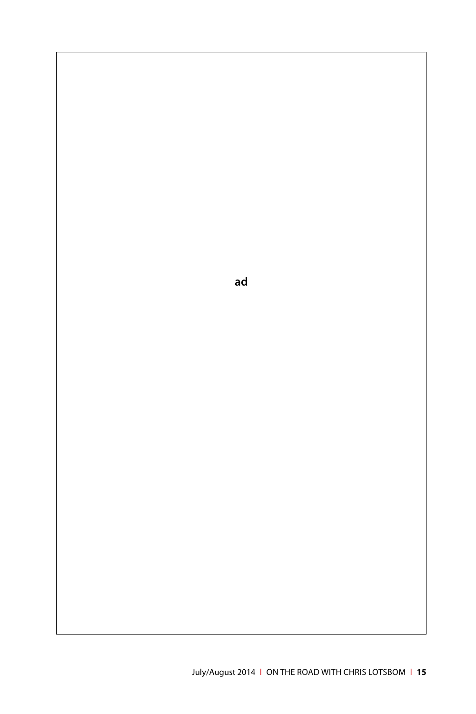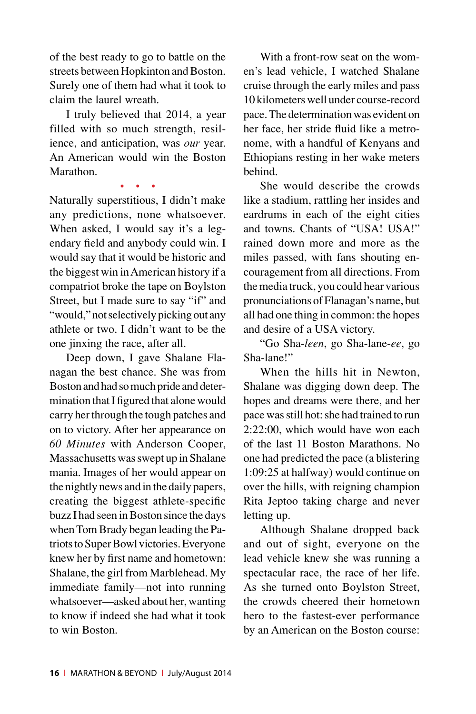of the best ready to go to battle on the streets between Hopkinton and Boston. Surely one of them had what it took to claim the laurel wreath.

I truly believed that 2014, a year filled with so much strength, resilience, and anticipation, was *our* year. An American would win the Boston Marathon.

• • •

Naturally superstitious, I didn't make any predictions, none whatsoever. When asked, I would say it's a legendary field and anybody could win. I would say that it would be historic and the biggest win in American history if a compatriot broke the tape on Boylston Street, but I made sure to say "if" and "would," not selectively picking out any athlete or two. I didn't want to be the one jinxing the race, after all.

Deep down, I gave Shalane Flanagan the best chance. She was from Boston and had so much pride and determination that I figured that alone would carry her through the tough patches and on to victory. After her appearance on *60 Minutes* with Anderson Cooper, Massachusetts was swept up in Shalane mania. Images of her would appear on the nightly news and in the daily papers, creating the biggest athlete-specific buzz I had seen in Boston since the days when Tom Brady began leading the Patriots to Super Bowl victories. Everyone knew her by first name and hometown: Shalane, the girl from Marblehead. My immediate family—not into running whatsoever—asked about her, wanting to know if indeed she had what it took to win Boston.

With a front-row seat on the women's lead vehicle, I watched Shalane cruise through the early miles and pass 10 kilometers well under course-record pace. The determination was evident on her face, her stride fluid like a metronome, with a handful of Kenyans and Ethiopians resting in her wake meters behind.

She would describe the crowds like a stadium, rattling her insides and eardrums in each of the eight cities and towns. Chants of "USA! USA!" rained down more and more as the miles passed, with fans shouting encouragement from all directions. From the media truck, you could hear various pronunciations of Flanagan's name, but all had one thing in common: the hopes and desire of a USA victory.

"Go Sha-*leen*, go Sha-lane-*ee*, go Sha-lane!"

When the hills hit in Newton, Shalane was digging down deep. The hopes and dreams were there, and her pace was still hot: she had trained to run 2:22:00, which would have won each of the last 11 Boston Marathons. No one had predicted the pace (a blistering 1:09:25 at halfway) would continue on over the hills, with reigning champion Rita Jeptoo taking charge and never letting up.

Although Shalane dropped back and out of sight, everyone on the lead vehicle knew she was running a spectacular race, the race of her life. As she turned onto Boylston Street, the crowds cheered their hometown hero to the fastest-ever performance by an American on the Boston course: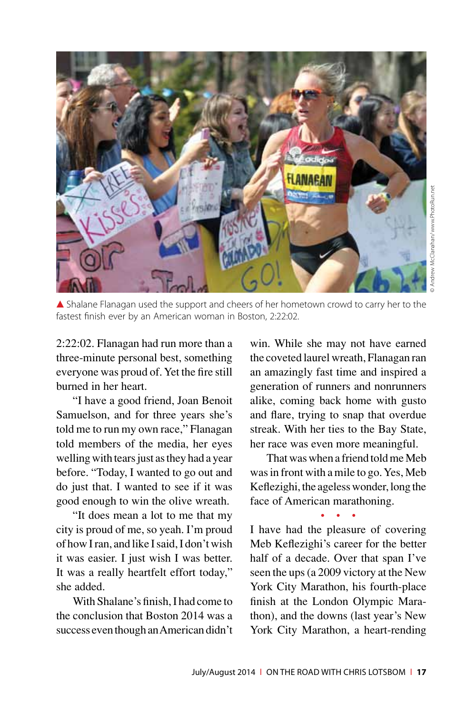

▲ Shalane Flanagan used the support and cheers of her hometown crowd to carry her to the fastest finish ever by an American woman in Boston, 2:22:02.

2:22:02. Flanagan had run more than a three-minute personal best, something everyone was proud of. Yet the fire still burned in her heart.

"I have a good friend, Joan Benoit Samuelson, and for three years she's told me to run my own race," Flanagan told members of the media, her eyes welling with tears just as they had a year before. "Today, I wanted to go out and do just that. I wanted to see if it was good enough to win the olive wreath.

"It does mean a lot to me that my city is proud of me, so yeah. I'm proud of how I ran, and like I said, I don't wish it was easier. I just wish I was better. It was a really heartfelt effort today," she added.

With Shalane's finish, I had come to the conclusion that Boston 2014 was a success even though an American didn't

win. While she may not have earned the coveted laurel wreath, Flanagan ran an amazingly fast time and inspired a generation of runners and nonrunners alike, coming back home with gusto and flare, trying to snap that overdue streak. With her ties to the Bay State, her race was even more meaningful.

That was when a friend told me Meb was in front with a mile to go. Yes, Meb Keflezighi, the ageless wonder, long the face of American marathoning.

• • • I have had the pleasure of covering Meb Keflezighi's career for the better half of a decade. Over that span I've seen the ups (a 2009 victory at the New York City Marathon, his fourth-place finish at the London Olympic Marathon), and the downs (last year's New York City Marathon, a heart-rending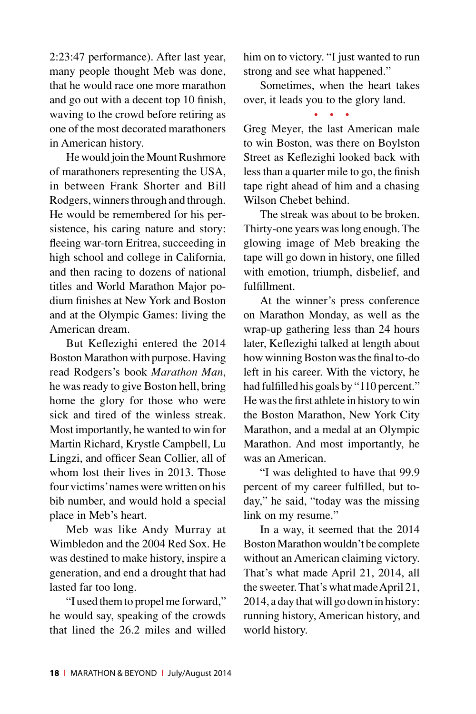2:23:47 performance). After last year, many people thought Meb was done, that he would race one more marathon and go out with a decent top 10 finish, waving to the crowd before retiring as one of the most decorated marathoners in American history.

He would join the Mount Rushmore of marathoners representing the USA, in between Frank Shorter and Bill Rodgers, winners through and through. He would be remembered for his persistence, his caring nature and story: fleeing war-torn Eritrea, succeeding in high school and college in California, and then racing to dozens of national titles and World Marathon Major podium finishes at New York and Boston and at the Olympic Games: living the American dream.

But Keflezighi entered the 2014 Boston Marathon with purpose. Having read Rodgers's book *Marathon Man*, he was ready to give Boston hell, bring home the glory for those who were sick and tired of the winless streak. Most importantly, he wanted to win for Martin Richard, Krystle Campbell, Lu Lingzi, and officer Sean Collier, all of whom lost their lives in 2013. Those four victims' names were written on his bib number, and would hold a special place in Meb's heart.

Meb was like Andy Murray at Wimbledon and the 2004 Red Sox. He was destined to make history, inspire a generation, and end a drought that had lasted far too long.

"I used them to propel me forward," he would say, speaking of the crowds that lined the 26.2 miles and willed him on to victory. "I just wanted to run strong and see what happened."

Sometimes, when the heart takes over, it leads you to the glory land.

• • •

Greg Meyer, the last American male to win Boston, was there on Boylston Street as Keflezighi looked back with less than a quarter mile to go, the finish tape right ahead of him and a chasing Wilson Chebet behind.

The streak was about to be broken. Thirty-one years was long enough. The glowing image of Meb breaking the tape will go down in history, one filled with emotion, triumph, disbelief, and fulfillment.

At the winner's press conference on Marathon Monday, as well as the wrap-up gathering less than 24 hours later, Keflezighi talked at length about how winning Boston was the final to-do left in his career. With the victory, he had fulfilled his goals by "110 percent." He was the first athlete in history to win the Boston Marathon, New York City Marathon, and a medal at an Olympic Marathon. And most importantly, he was an American.

"I was delighted to have that 99.9 percent of my career fulfilled, but today," he said, "today was the missing link on my resume."

In a way, it seemed that the 2014 Boston Marathon wouldn't be complete without an American claiming victory. That's what made April 21, 2014, all the sweeter. That's what made April 21, 2014, a day that will go down in history: running history, American history, and world history.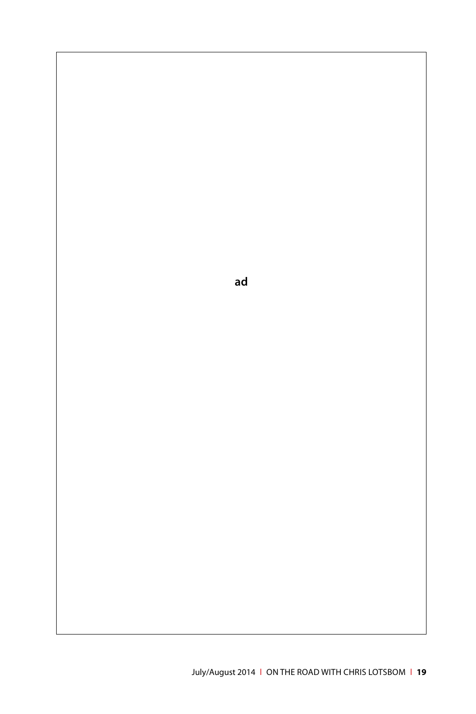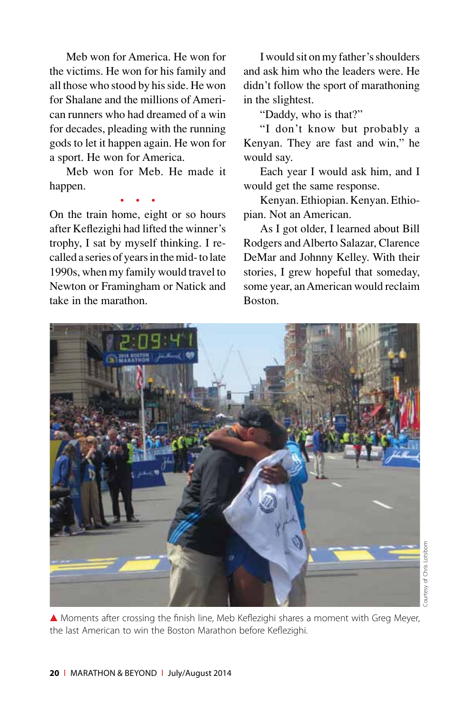Meb won for America. He won for the victims. He won for his family and all those who stood by his side. He won for Shalane and the millions of American runners who had dreamed of a win for decades, pleading with the running gods to let it happen again. He won for a sport. He won for America.

Meb won for Meb. He made it happen. • • •

On the train home, eight or so hours after Keflezighi had lifted the winner's trophy, I sat by myself thinking. I recalled a series of years in the mid- to late 1990s, when my family would travel to Newton or Framingham or Natick and take in the marathon.

I would sit on my father's shoulders and ask him who the leaders were. He didn't follow the sport of marathoning in the slightest.

"Daddy, who is that?"

"I don't know but probably a Kenyan. They are fast and win," he would say.

Each year I would ask him, and I would get the same response.

Kenyan. Ethiopian. Kenyan. Ethiopian. Not an American.

As I got older, I learned about Bill Rodgers and Alberto Salazar, Clarence DeMar and Johnny Kelley. With their stories, I grew hopeful that someday, some year, an American would reclaim Boston.



Courtesy of Chris Lotsbomourtesy of Chris Lotsborn

▲ Moments after crossing the finish line, Meb Keflezighi shares a moment with Greg Meyer, the last American to win the Boston Marathon before Keflezighi.